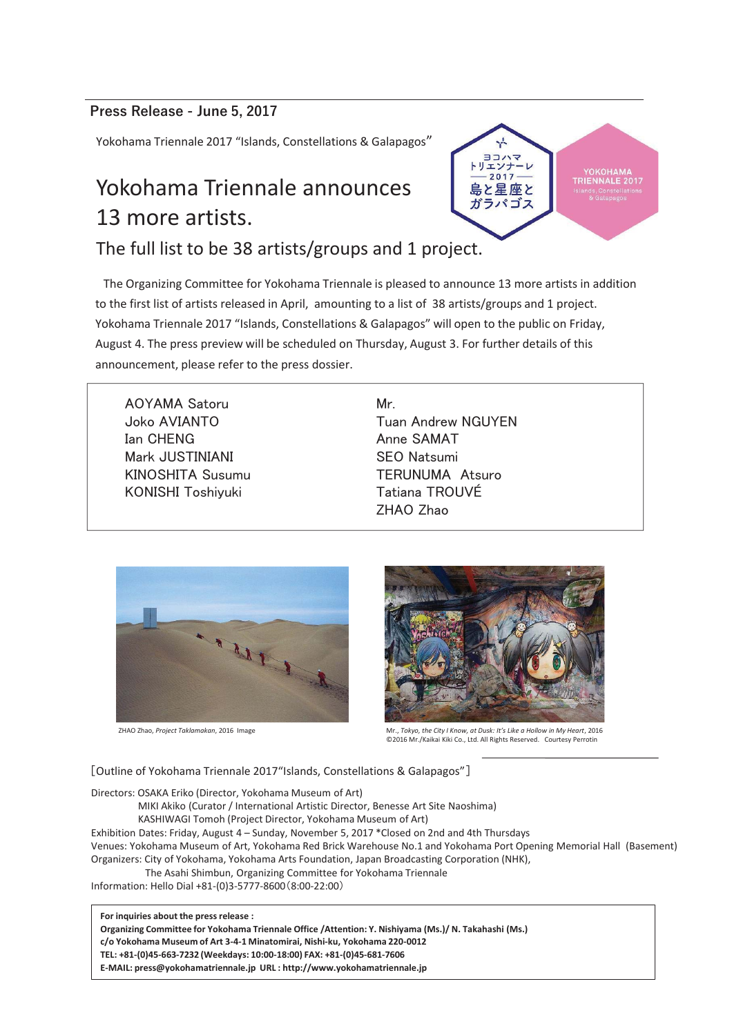#### Press Release - June 5, 2017

Yokohama Triennale 2017 "Islands, Constellations & Galapagos"

## Yokohama Triennale announces 13 more artists.

The full list to be 38 artists/groups and 1 project.

The Organizing Committee for Yokohama Triennale is pleased to announce 13 more artists in addition to the first list of artists released in April, amounting to a list of 38 artists/groups and 1 project. Yokohama Triennale 2017 "Islands, Constellations & Galapagos" will open to the public on Friday, August 4. The press preview will be scheduled on Thursday, August 3. For further details of this announcement, please refer to the press dossier.

AOYAMA Satoru **Joko AVIANTO Ian CHENG** Mark JUSTINIANI KINOSHITA Susumu KONISHI Toshiyuki

Mr. **Tuan Andrew NGUYEN** 㻭㼚㼚㼑㻌㻿㻭㻹㻭㼀㻌㻌㻌㻌㻌㻌㻌㻌㻌㻌㻌㻌㻌㻌㻌㻌㻌㻌㻌㻌㻌㻌㻌㻌㻌㻌㻌㻌㻌㻌㻌 SEO Natsumi **TERUNUMA Atsuro** Tatiana TROUVÉ 㼆㻴㻭㻻㻌㼆㼔㼍㼛



ZHAO Zhao, *Project Taklamakan*, 2016 Image



2017

島と星座と ガラパゴス

**RIENNALE 2017** 

Mr., *Tokyo, the City I Know, at Dusk: It's Like a Hollow in My Heart*, 2016 ©2016 Mr./Kaikai Kiki Co., Ltd. All Rights Reserved. Courtesy Perrotin

[Outline of Yokohama Triennale 2017"Islands, Constellations & Galapagos"]

Directors: OSAKA Eriko (Director, Yokohama Museum of Art)

MIKI Akiko (Curator / International Artistic Director, Benesse Art Site Naoshima)

KASHIWAGI Tomoh (Project Director, Yokohama Museum of Art)

Exhibition Dates: Friday, August 4 – Sunday, November 5, 2017 \*Closed on 2nd and 4th Thursdays Venues: Yokohama Museum of Art, Yokohama Red Brick Warehouse No.1 and Yokohama Port Opening Memorial Hall (Basement) Organizers: City of Yokohama, Yokohama Arts Foundation, Japan Broadcasting Corporation (NHK),

The Asahi Shimbun, Organizing Committee for Yokohama Triennale

Information: Hello Dial +81-(0)3-5777-8600 (8:00-22:00)

**For inquiries about the press release :**

**Organizing Committee for Yokohama Triennale Office /Attention: Y. Nishiyama (Ms.)/ N. Takahashi (Ms.)**

**c/o Yokohama Museum of Art 3-4-1 Minatomirai, Nishi-ku, Yokohama 220-0012**

**TEL: +81-(0)45-663-7232 (Weekdays: 10:00-18:00) FAX: +81-(0)45-681-7606**

**E-MAIL: press@yokohamatriennale.jp URL : http://www.yokohamatriennale.jp**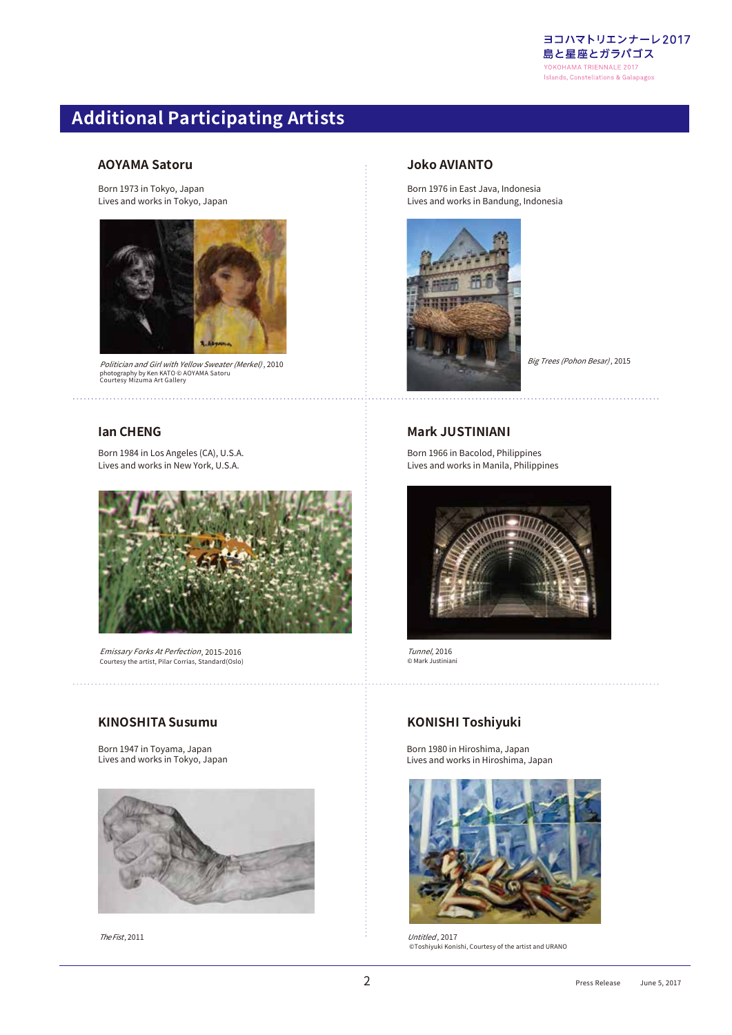

## **Additional Participating Artists**

#### **AOYAMA Satoru**

Born 1973 in Tokyo, Japan Lives and works in Tokyo, Japan



*Politician and Girl with Yellow Sweater (Merkel) , 1*<br>photography by Ken KATO © AOYAMA Satoru<br>Courtesy Mizuma Art Gallery

#### **Ian CHENG**

Born 1984 in Los Angeles (CA), U.S.A. Lives and works in New York, U.S.A.



Courtesy the artist, Pilar Corrias, Standard(Oslo) Emissary Forks At Perfection, 2015-2016

#### **KINOSHITA Susumu**

Born 1947 in Toyama, Japan Lives and works in Tokyo, Japan



The Fist, 2011

#### **Joko AVIANTO**

Born 1976 in East Java, Indonesia Lives and works in Bandung, Indonesia



#### **Mark JUSTINIANI**

Born 1966 in Bacolod, Philippines Lives and works in Manila, Philippines



Tunnel, 2016 © Mark Justiniani

#### **KONISHI Toshiyuki**

Born 1980 in Hiroshima, Japan Lives and works in Hiroshima, Japan



, 2011 *Untitled* Untitled, 2017 ©Toshiyuki Konishi, Courtesy of the artist and URANO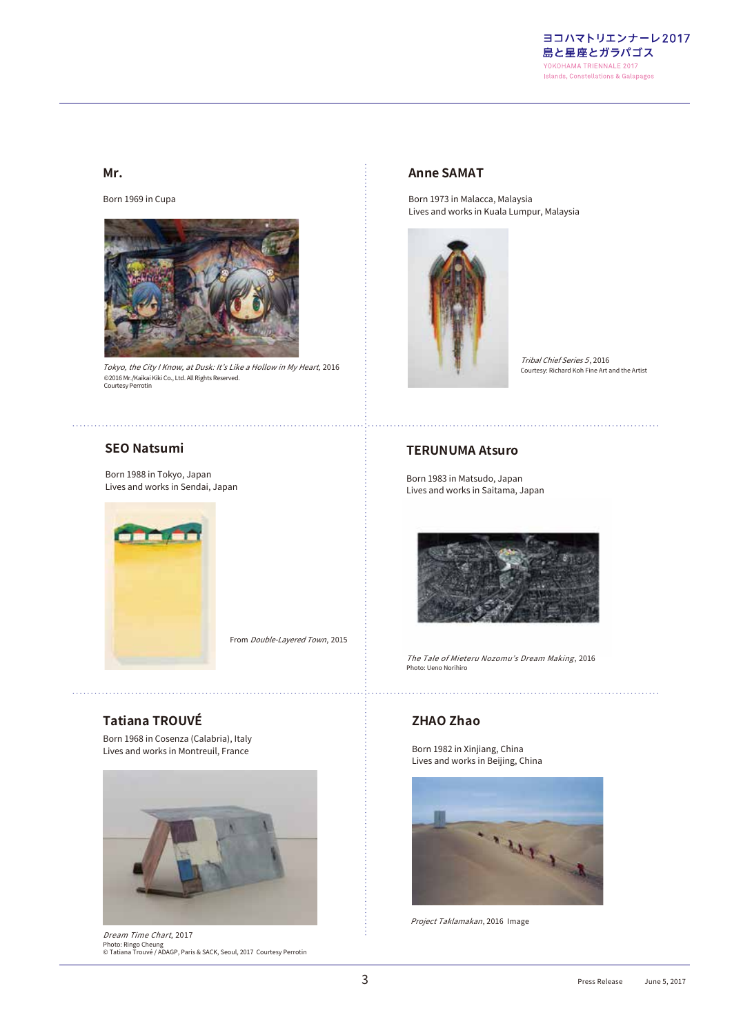

#### **Mr.**

Born 1969 in Cupa



Tokyo, the City I Know, at Dusk: It's Like a Hollow in My Heart, 2016 ©2016 Mr./Kaikai Kiki Co., Ltd. All Rights Reserved. Courtesy Perrotin

#### **Anne SAMAT**

Born 1973 in Malacca, Malaysia Lives and works in Kuala Lumpur, Malaysia



Tribal Chief Series 5 *Tribal Chief Series 5*, 2016<br>Courtesy: Richard Koh Fine Art and the Artist

#### **SEO Natsumi**

Born 1988 in Tokyo, Japan Lives and works in Sendai, Japan



From Double-Layered Town , 2015

**Tatiana TROUVÉ** Born 1968 in Cosenza (Calabria), Italy

Lives and works in Montreuil, France



Dream Time Chart , 2017 Photo: Ringo Cheung © Tatiana Trouvé / ADAGP, Paris & SACK, Seoul, 2017 Courtesy Perrotin

#### **TERUNUMA Atsuro**

Born 1983 in Matsudo, Japan Lives and works in Saitama, Japan



The Tale of Mieteru Nozomu's Dream Making , 2016 Photo: Ueno Norihiro

#### **ZHAO Zhao**

Born 1982 in Xinjiang, China Lives and works in Beijing, China



Project Taklamakan , 2016 Image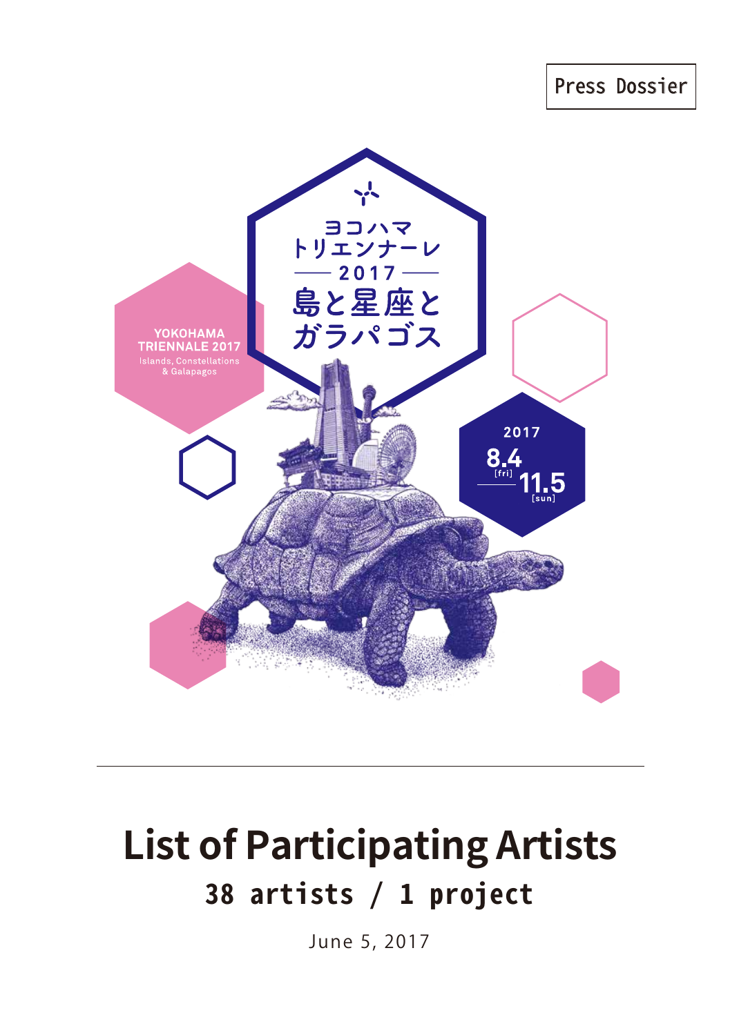

# **List of Participating Artists 38 artists / 1 project**

June 5, 2017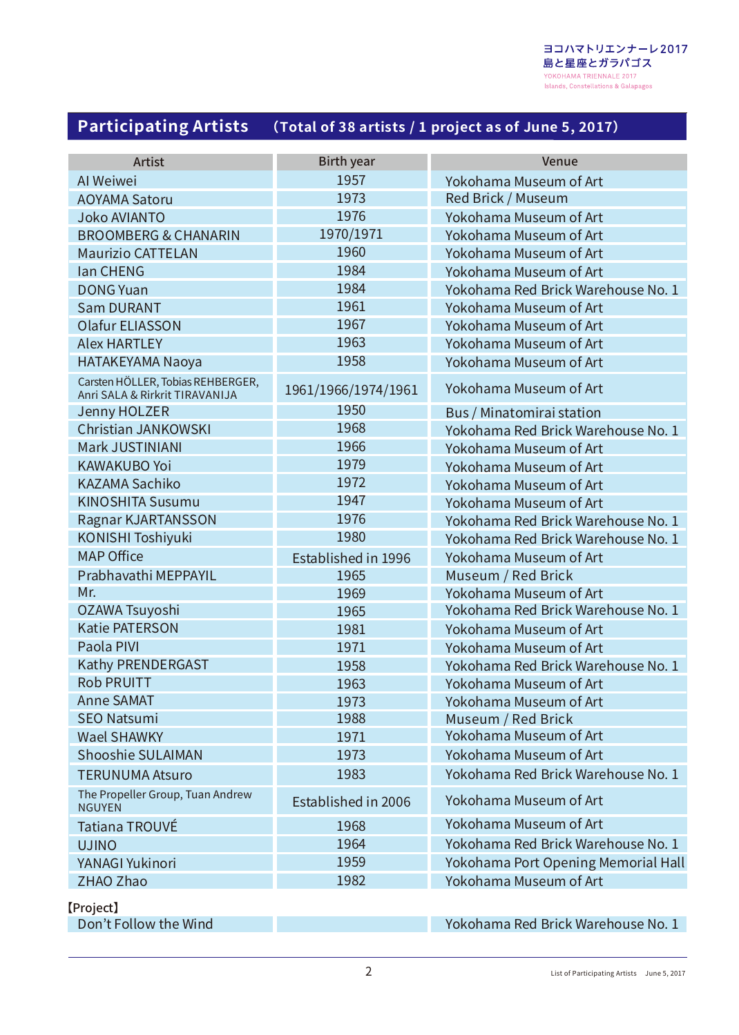## **Participating Artists (Total of 38 artists / 1 project as of June 5, 2017)**

| <b>Artist</b>                                                       | <b>Birth year</b>   | Venue                               |
|---------------------------------------------------------------------|---------------------|-------------------------------------|
| Al Weiwei                                                           | 1957                | Yokohama Museum of Art              |
| <b>AOYAMA Satoru</b>                                                | 1973                | Red Brick / Museum                  |
| <b>Joko AVIANTO</b>                                                 | 1976                | Yokohama Museum of Art              |
| <b>BROOMBERG &amp; CHANARIN</b>                                     | 1970/1971           | Yokohama Museum of Art              |
| <b>Maurizio CATTELAN</b>                                            | 1960                | Yokohama Museum of Art              |
| <b>lan CHENG</b>                                                    | 1984                | Yokohama Museum of Art              |
| <b>DONG Yuan</b>                                                    | 1984                | Yokohama Red Brick Warehouse No. 1  |
| <b>Sam DURANT</b>                                                   | 1961                | Yokohama Museum of Art              |
| <b>Olafur ELIASSON</b>                                              | 1967                | Yokohama Museum of Art              |
| <b>Alex HARTLEY</b>                                                 | 1963                | Yokohama Museum of Art              |
| <b>HATAKEYAMA Naoya</b>                                             | 1958                | Yokohama Museum of Art              |
| Carsten HÖLLER, Tobias REHBERGER,<br>Anri SALA & Rirkrit TIRAVANIJA | 1961/1966/1974/1961 | Yokohama Museum of Art              |
| <b>Jenny HOLZER</b>                                                 | 1950                | Bus / Minatomirai station           |
| <b>Christian JANKOWSKI</b>                                          | 1968                | Yokohama Red Brick Warehouse No. 1  |
| Mark JUSTINIANI                                                     | 1966                | Yokohama Museum of Art              |
| <b>KAWAKUBO Yoi</b>                                                 | 1979                | Yokohama Museum of Art              |
| <b>KAZAMA Sachiko</b>                                               | 1972                | Yokohama Museum of Art              |
| <b>KINOSHITA Susumu</b>                                             | 1947                | Yokohama Museum of Art              |
| Ragnar KJARTANSSON                                                  | 1976                | Yokohama Red Brick Warehouse No. 1  |
| <b>KONISHI Toshiyuki</b>                                            | 1980                | Yokohama Red Brick Warehouse No. 1  |
| <b>MAP Office</b>                                                   | Established in 1996 | Yokohama Museum of Art              |
| Prabhavathi MEPPAYIL                                                | 1965                | Museum / Red Brick                  |
| Mr.                                                                 | 1969                | Yokohama Museum of Art              |
| OZAWA Tsuyoshi                                                      | 1965                | Yokohama Red Brick Warehouse No. 1  |
| <b>Katie PATERSON</b>                                               | 1981                | Yokohama Museum of Art              |
| Paola PIVI                                                          | 1971                | Yokohama Museum of Art              |
| Kathy PRENDERGAST                                                   | 1958                | Yokohama Red Brick Warehouse No. 1  |
| <b>Rob PRUITT</b>                                                   | 1963                | Yokohama Museum of Art              |
| <b>Anne SAMAT</b>                                                   | 1973                | Yokohama Museum of Art              |
| <b>SEO Natsumi</b>                                                  | 1988                | Museum / Red Brick                  |
| <b>Wael SHAWKY</b>                                                  | 1971                | Yokohama Museum of Art              |
| <b>Shooshie SULAIMAN</b>                                            | 1973                | Yokohama Museum of Art              |
| <b>TERUNUMA Atsuro</b>                                              | 1983                | Yokohama Red Brick Warehouse No. 1  |
| The Propeller Group, Tuan Andrew<br><b>NGUYEN</b>                   | Established in 2006 | Yokohama Museum of Art              |
| <b>Tatiana TROUVÉ</b>                                               | 1968                | Yokohama Museum of Art              |
| <b>UJINO</b>                                                        | 1964                | Yokohama Red Brick Warehouse No. 1  |
| YANAGI Yukinori                                                     | 1959                | Yokohama Port Opening Memorial Hall |
| ZHAO Zhao                                                           | 1982                | Yokohama Museum of Art              |

【Project】

Don't Follow the Wind **The Contract Oriental Contract Contract Contract Property** Yokohama Red Brick Warehouse No. 1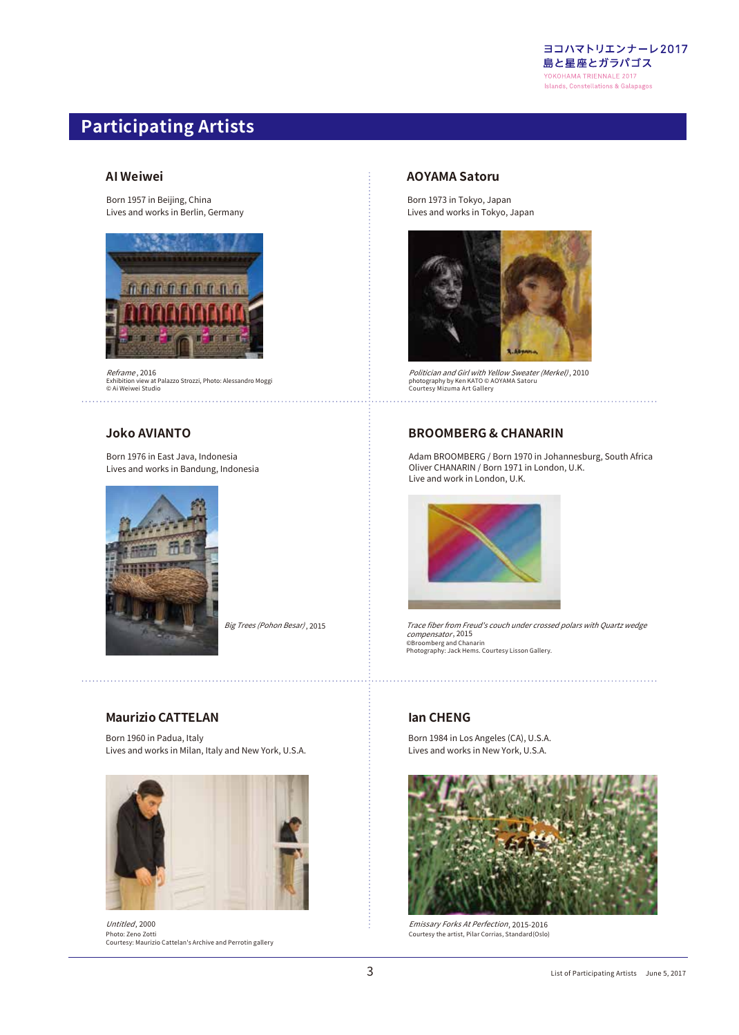

## **Participating Artists**

#### **AI Weiwei**

Born 1957 in Beijing, China Lives and works in Berlin, Germany



Reframe, 2016 Exhibition view at Palazzo Strozzi, Photo: Alessandro Moggi © Ai Weiwei Studio

#### **Joko AVIANTO**

Born 1976 in East Java, Indonesia Lives and works in Bandung, Indonesia



*Big Trees (Pohon Besar)*, 2015

#### **Maurizio CATTELAN**

Born 1960 in Padua, Italy Lives and works in Milan, Italy and New York, U.S.A.



Photo: Zeno Zotti Courtesy: Maurizio Cattelan's Archive and Perrotin gallery Untitled, 2000 , 2000 , 2015-2016 , 2015-2016 , 2017 , 2016 , 2017 , 2017 , 2017 , 2017 , 2017 , 2017 , 2017 , 2017 , 2017 ,

#### **AOYAMA Satoru**

Born 1973 in Tokyo, Japan Lives and works in Tokyo, Japan



*Politician and Girl with Yellow Sweater (Merkel), :*<br>photography by Ken KATO © AOYAMA Satoru<br>Courtesy Mizuma Art Gallery , 2016 2017 . 2018 . 2019 . 2018 . 2019 . 2019 . 2019 . 2019 . 2019 . 2019 . 2019 . 2019 . 2019 . 2019 . 2019 , 201

#### **BROOMBERG & CHANARIN**

Adam BROOMBERG / Born 1970 in Johannesburg, South Africa Oliver CHANARIN / Born 1971 in London, U.K. Live and work in London, U.K.



Trace fiber from Freud's couch under crossed polars with Quartz wedge compensator , 2015 ©Broomberg and Chanarin Photography: Jack Hems. Courtesy Lisson Gallery.

#### **Ian CHENG**

Born 1984 in Los Angeles (CA), U.S.A. Lives and works in New York, U.S.A.



Courtesy the artist, Pilar Corrias, Standard(Oslo)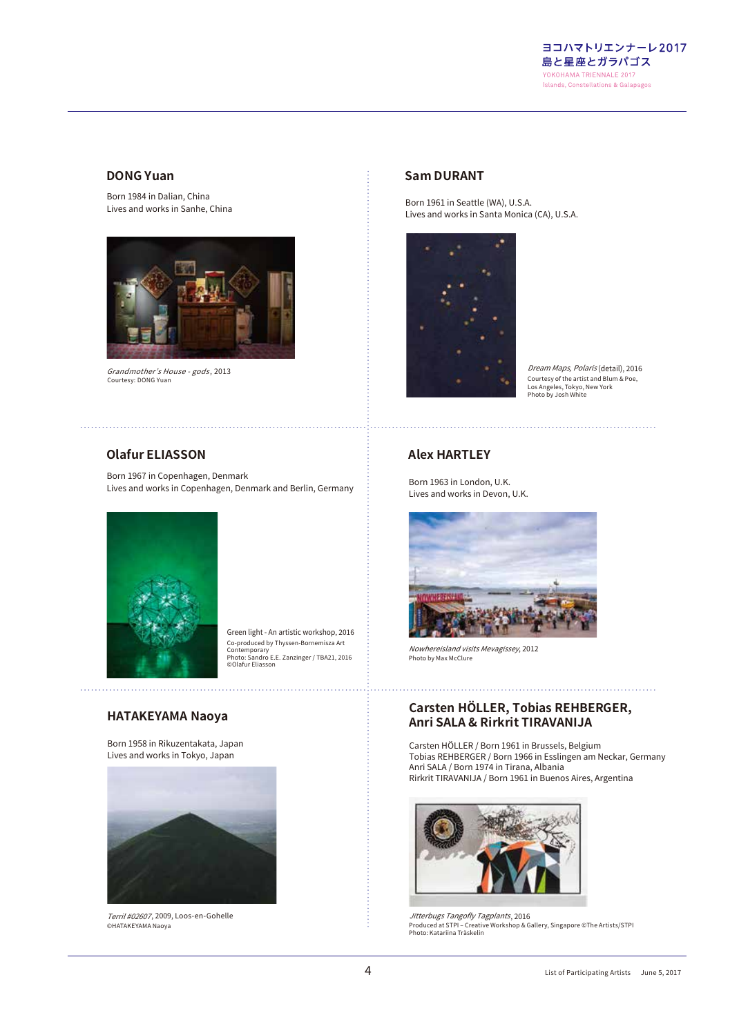

#### **DONG Yuan**

Born 1984 in Dalian, China Lives and works in Sanhe, China



Grandmother's House - gods Courtesy: DONG Yuan

#### **Sam DURANT**

Born 1961 in Seattle (WA), U.S.A. Lives and works in Santa Monica (CA), U.S.A.



Courtesy of the artist and Blum & Poe, Los Angeles, Tokyo, New York Photo by Josh White

#### **Olafur ELIASSON**

Born 1967 in Copenhagen, Denmark Lives and works in Copenhagen, Denmark and Berlin, Germany



Co-produced by Thyssen-Bornemisza Art Contemporary Photo: Sandro E.E. Zanzinger / TBA21, 2016 ©Olafur Eliasson Green light - An artistic workshop, 2016

#### **HATAKEYAMA Naoya**

Born 1958 in Rikuzentakata, Japan Lives and works in Tokyo, Japan



Terril #02607, 2009, Loos-en-Gohelle ©HATAKEYAMA Naoya

#### **Alex HARTLEY**

Born 1963 in London, U.K. Lives and works in Devon, U.K.



Nowhereisland visits Mevagissey , 2012 Photo by Max McClure

#### **Carsten HÖLLER, Tobias REHBERGER, Anri SALA & Rirkrit TIRAVANIJA**

Carsten HÖLLER / Born 1961 in Brussels, Belgium Tobias REHBERGER / Born 1966 in Esslingen am Neckar, Germany Anri SALA / Born 1974 in Tirana, Albania Rirkrit TIRAVANIJA / Born 1961 in Buenos Aires, Argentina



Produced at STPI – Creative Workshop & Gallery, Singapore ©The Artists/STPI<br>Photo: Katariina Träskelin Jitterbugs Tangofly Tagplants , 2009, Loos-en-Gohelle , 2016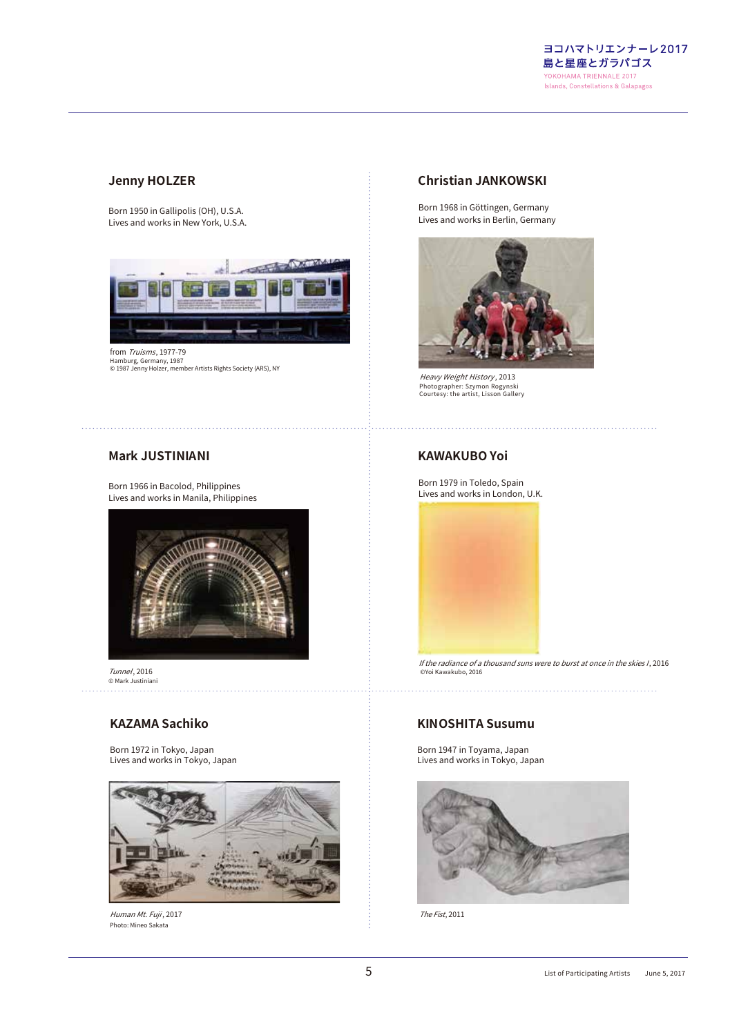

#### **Jenny HOLZER**

Born 1950 in Gallipolis (OH), U.S.A. Lives and works in New York, U.S.A.



Hamburg, Germany, 1987 © 1987 Jenny Holzer, member Artists Rights Society (ARS), NY from *Truisms*, 1977-79

#### **Christian JANKOWSKI**

Born 1968 in Göttingen, Germany Lives and works in Berlin, Germany



Heavy Weight History , 2013 Photographer: Szymon Rogynski Courtesy: the artist, Lisson Gallery

#### **Mark JUSTINIANI**

Born 1966 in Bacolod, Philippines Lives and works in Manila, Philippines



Tunnel *Tunnel* , 2016<br>© Mark Justiniani

#### **KAZAMA Sachiko**

Born 1972 in Tokyo, Japan Lives and works in Tokyo, Japan



Human Mt. Fuji , 2017 Photo: Mineo Sakata

#### **KAWAKUBO Yoi**

Born 1979 in Toledo, Spain Lives and works in London, U.K.



 ©Yoi Kawakubo, 2016 If the radiance of a thousand suns were to burst at once in the skies I , 2016

#### **KINOSHITA Susumu**

Born 1947 in Toyama, Japan Lives and works in Tokyo, Japan



The Fist , 2011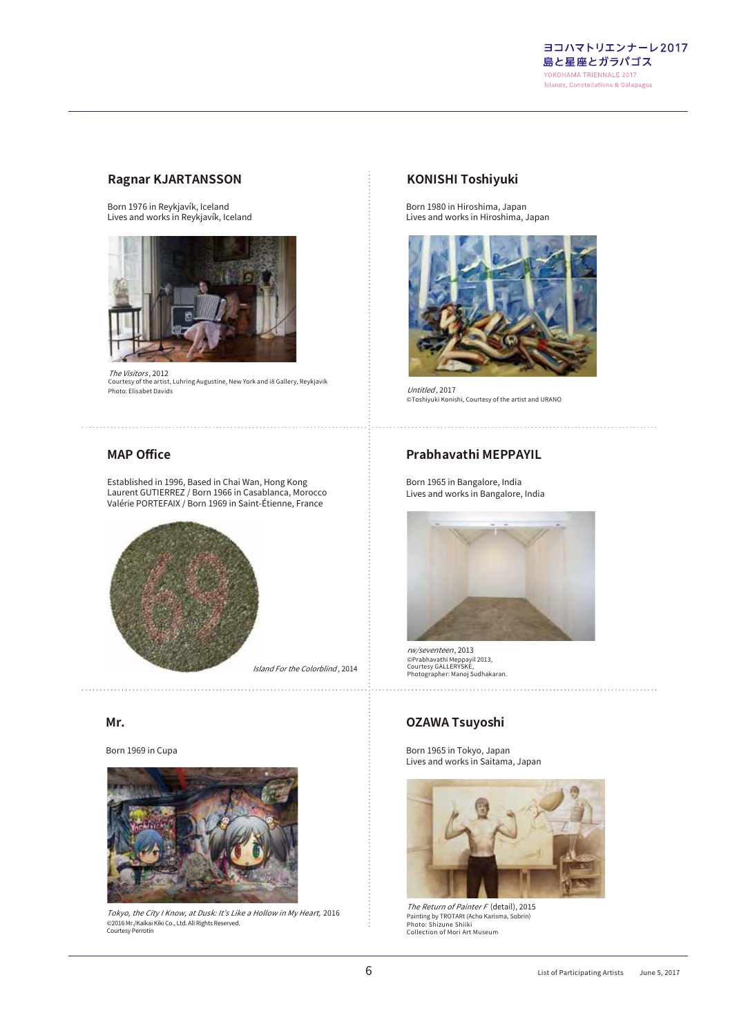

#### **Ragnar KJARTANSSON**

Born 1976 in Reykjavík, Iceland Lives and works in Reykjavík, Iceland



The Visitors, 2012 Courtesy of the artist, Luhring Augustine, New York and i8 Gallery, Reykjavik Photo: Elisabet Davids , 2012

#### **KONISHI Toshiyuki**

Born 1980 in Hiroshima, Japan Lives and works in Hiroshima, Japan



Untitled , 2017 ©Toshiyuki Konishi, Courtesy of the artist and URANO

#### **MAP Office**

Established in 1996, Based in Chai Wan, Hong Kong Laurent GUTIERREZ / Born 1966 in Casablanca, Morocco Valérie PORTEFAIX / Born 1969 in Saint-Étienne, France



#### **Mr.**

Born 1969 in Cupa



Tokyo, the City I Know, at Dusk: It's Like a Hollow in My Heart, 2016 ©2016 Mr./Kaikai Kiki Co., Ltd. All Rights Reserved. Courtesy Perrotin

#### **Prabhavathi MEPPAYIL**

Born 1965 in Bangalore, India Lives and works in Bangalore, India



rw/seventeen , 2013 ©Prabhavathi Meppayil 2013, Courtesy GALLERYSKE, Photographer: Manoj Sudhakaran.

#### **OZAWA Tsuyoshi**

Born 1965 in Tokyo, Japan Lives and works in Saitama, Japan



The Return of Painter F (detail), 2015 Painting by TROTARt (Acho Karisma, Sobrin) Photo: Shizune Shiiki Collection of Mori Art Museum *The Return of Painter F* (detail), 2015<br>2016 **19. Experime by TROTARt (Acho Karisma Sobrin)** 

. . . . . . . . . . . . .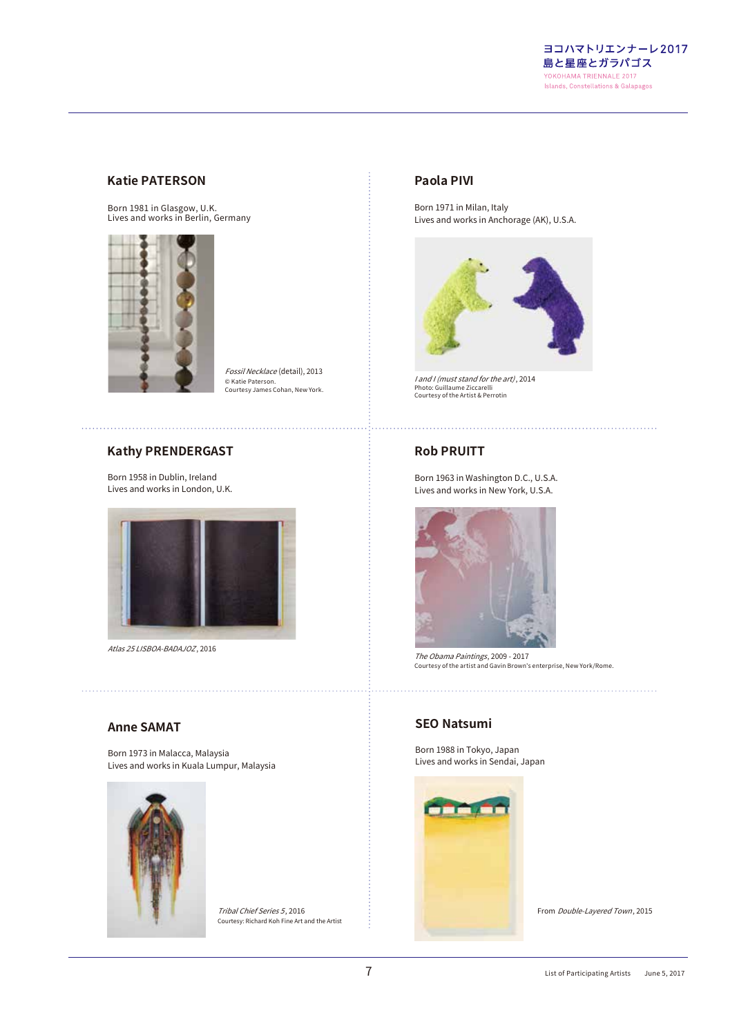ヨコハマトリエンナーレ2017 島と星座とガラパゴス YOKOHAMA TRIENNALE 2017 **Islands, Constellations & Galapagos** 

#### **Katie PATERSON**

Born 1981 in Glasgow, U.K. Lives and works in Berlin, Germany



*Fossil Necklace* (detail), 2013 © Katie Paterson. Courtesy James Cohan, New York.

#### **Kathy PRENDERGAST**

Born 1958 in Dublin, Ireland Lives and works in London, U.K.



*Atlas 25 LISBOA-BADAJOZ* , 2016

#### **Anne SAMAT**

Born 1973 in Malacca, Malaysia Lives and works in Kuala Lumpur, Malaysia



Tribal Chief Series 5, 2016 Courtesy: Richard Koh Fine Art and the Artist

#### **Paola PIVI**

Born 1971 in Milan, Italy Lives and works in Anchorage (AK), U.S.A.



I and I (must stand for the art) , 2014 Photo: Guillaume Ziccarelli Courtesy of the Artist & Perrotin

#### **Rob PRUITT**

Born 1963 in Washington D.C., U.S.A. Lives and works in New York, U.S.A.



The Obama Paintings *The Obama Paintings*, 2009 - 2017<br>Courtesy of the artist and Gavin Brown's enterprise, New York/Rome.

#### **SEO Natsumi**

Born 1988 in Tokyo, Japan Lives and works in Sendai, Japan



From Double-Layered Town, 2015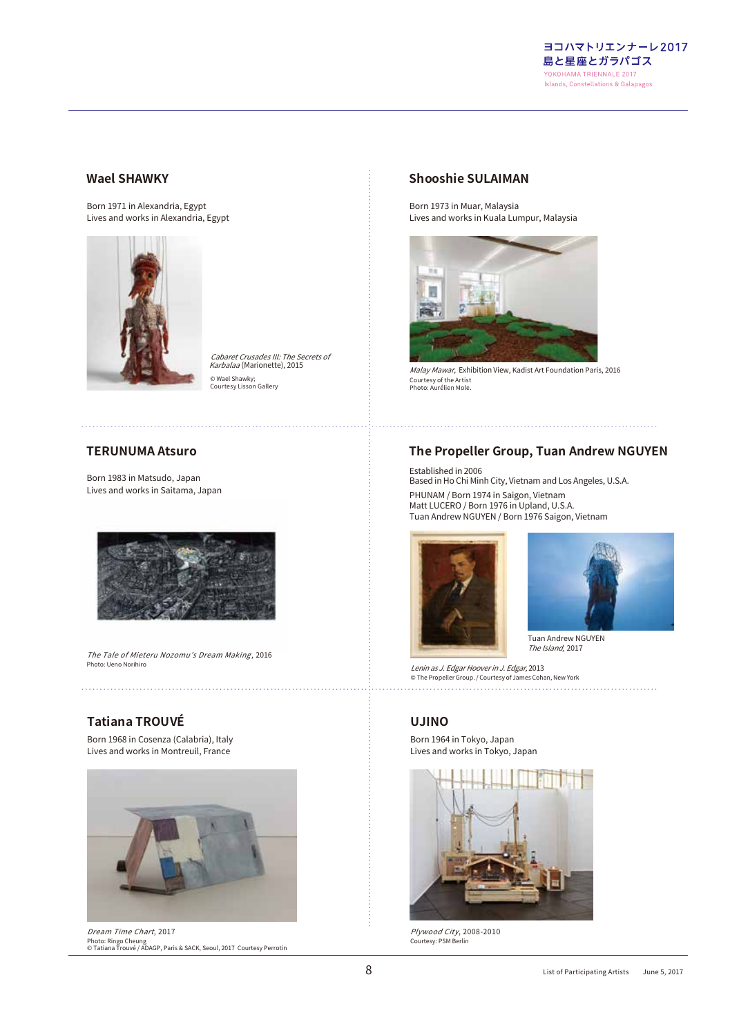

#### **Wael SHAWKY**

Born 1971 in Alexandria, Egypt Lives and works in Alexandria, Egypt



© Wael Shawky; Courtesy Lisson Gallery Cabaret Crusades III: The Secrets of Karbalaa (Marionette), 2015

#### **TERUNUMA Atsuro**

. . . . . . . . . . . . . . . . .

Born 1983 in Matsudo, Japan Lives and works in Saitama, Japan



The Tale of Mieteru Nozomu's Dream Making , 2016 Photo: Ueno Norihiro

#### **Tatiana TROUVÉ**

Born 1968 in Cosenza (Calabria), Italy Lives and works in Montreuil, France



Dream Time Chart, 2017 Photo: Ringo Cheung © Tatiana Trouvé / ADAGP, Paris & SACK, Seoul, 2017 Courtesy Perrotin , 2017 , 2017 , 2008-2010 , 2008-2010 , 2008-2010 , 2008-2010 , 2008-2010 , 2008-

#### **Shooshie SULAIMAN**

Born 1973 in Muar, Malaysia Lives and works in Kuala Lumpur, Malaysia



Marionette), 2015 For Malay Mawar, Exhibition View, Kadist Art Foundation Paris, 2016 Courtesy of the Artist Photo: Aurélien Mole.

#### **The Propeller Group, Tuan Andrew NGUYEN**

Established in 2006 Based in Ho Chi Minh City, Vietnam and Los Angeles, U.S.A. PHUNAM / Born 1974 in Saigon, Vietnam Matt LUCERO / Born 1976 in Upland, U.S.A. Tuan Andrew NGUYEN / Born 1976 Saigon, Vietnam





The Island, 2017 Tuan Andrew NGUYEN

Lenin as J. Edgar Hoover in J. Edgar, 2013 © The Propeller Group. / Courtesy of James Cohan, New York

#### **UJINO**

Born 1964 in Tokyo, Japan Lives and works in Tokyo, Japan



Courtesy: PSM Berlin